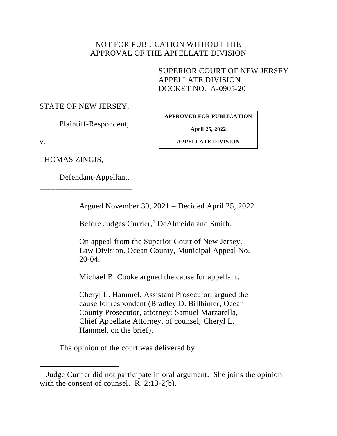# NOT FOR PUBLICATION WITHOUT THE APPROVAL OF THE APPELLATE DIVISION

SUPERIOR COURT OF NEW JERSEY APPELLATE DIVISION DOCKET NO. A-0905-20

STATE OF NEW JERSEY,

Plaintiff-Respondent,

**APPROVED FOR PUBLICATION**

**April 25, 2022**

v.

**APPELLATE DIVISION**

THOMAS ZINGIS,

Defendant-Appellant.

\_\_\_\_\_\_\_\_\_\_\_\_\_\_\_\_\_\_\_\_\_\_\_

Argued November 30, 2021 – Decided April 25, 2022

Before Judges Currier,<sup>1</sup> DeAlmeida and Smith.

On appeal from the Superior Court of New Jersey, Law Division, Ocean County, Municipal Appeal No. 20-04.

Michael B. Cooke argued the cause for appellant.

Cheryl L. Hammel, Assistant Prosecutor, argued the cause for respondent (Bradley D. Billhimer, Ocean County Prosecutor, attorney; Samuel Marzarella, Chief Appellate Attorney, of counsel; Cheryl L. Hammel, on the brief).

The opinion of the court was delivered by

<sup>&</sup>lt;sup>1</sup> Judge Currier did not participate in oral argument. She joins the opinion with the consent of counsel. R. 2:13-2(b).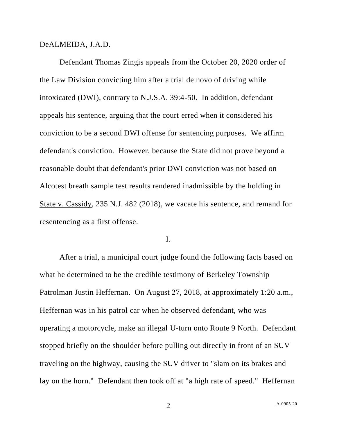DeALMEIDA, J.A.D.

Defendant Thomas Zingis appeals from the October 20, 2020 order of the Law Division convicting him after a trial de novo of driving while intoxicated (DWI), contrary to N.J.S.A. 39:4-50. In addition, defendant appeals his sentence, arguing that the court erred when it considered his conviction to be a second DWI offense for sentencing purposes. We affirm defendant's conviction. However, because the State did not prove beyond a reasonable doubt that defendant's prior DWI conviction was not based on Alcotest breath sample test results rendered inadmissible by the holding in State v. Cassidy, 235 N.J. 482 (2018), we vacate his sentence, and remand for resentencing as a first offense.

I.

After a trial, a municipal court judge found the following facts based on what he determined to be the credible testimony of Berkeley Township Patrolman Justin Heffernan. On August 27, 2018, at approximately 1:20 a.m., Heffernan was in his patrol car when he observed defendant, who was operating a motorcycle, make an illegal U-turn onto Route 9 North. Defendant stopped briefly on the shoulder before pulling out directly in front of an SUV traveling on the highway, causing the SUV driver to "slam on its brakes and lay on the horn." Defendant then took off at "a high rate of speed." Heffernan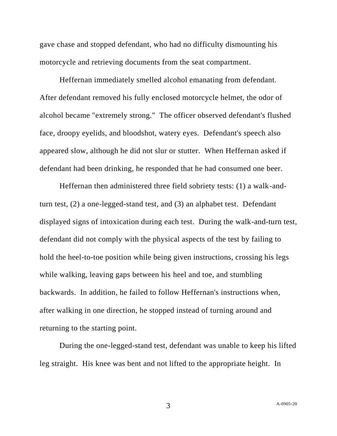gave chase and stopped defendant, who had no difficulty dismounting his motorcycle and retrieving documents from the seat compartment.

Heffernan immediately smelled alcohol emanating from defendant. After defendant removed his fully enclosed motorcycle helmet, the odor of alcohol became "extremely strong." The officer observed defendant's flushed face, droopy eyelids, and bloodshot, watery eyes. Defendant's speech also appeared slow, although he did not slur or stutter. When Heffernan asked if defendant had been drinking, he responded that he had consumed one beer.

Heffernan then administered three field sobriety tests: (1) a walk-andturn test, (2) a one-legged-stand test, and (3) an alphabet test. Defendant displayed signs of intoxication during each test. During the walk-and-turn test, defendant did not comply with the physical aspects of the test by failing to hold the heel-to-toe position while being given instructions, crossing his legs while walking, leaving gaps between his heel and toe, and stumbling backwards. In addition, he failed to follow Heffernan's instructions when, after walking in one direction, he stopped instead of turning around and returning to the starting point.

During the one-legged-stand test, defendant was unable to keep his lifted leg straight. His knee was bent and not lifted to the appropriate height. In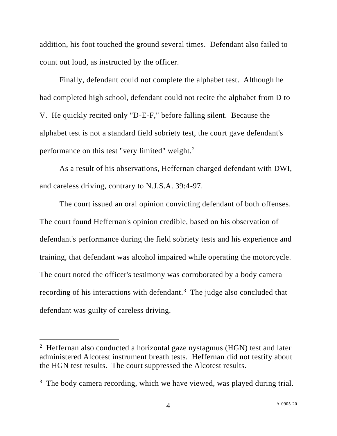addition, his foot touched the ground several times. Defendant also failed to count out loud, as instructed by the officer.

Finally, defendant could not complete the alphabet test. Although he had completed high school, defendant could not recite the alphabet from D to V. He quickly recited only "D-E-F," before falling silent. Because the alphabet test is not a standard field sobriety test, the court gave defendant's performance on this test "very limited" weight.<sup>2</sup>

As a result of his observations, Heffernan charged defendant with DWI, and careless driving, contrary to N.J.S.A. 39:4-97.

The court issued an oral opinion convicting defendant of both offenses. The court found Heffernan's opinion credible, based on his observation of defendant's performance during the field sobriety tests and his experience and training, that defendant was alcohol impaired while operating the motorcycle. The court noted the officer's testimony was corroborated by a body camera recording of his interactions with defendant.<sup>3</sup> The judge also concluded that defendant was guilty of careless driving.

<sup>&</sup>lt;sup>2</sup> Heffernan also conducted a horizontal gaze nystagmus (HGN) test and later administered Alcotest instrument breath tests. Heffernan did not testify about the HGN test results. The court suppressed the Alcotest results.

 $3$  The body camera recording, which we have viewed, was played during trial.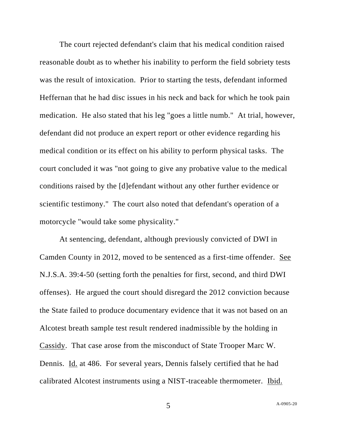The court rejected defendant's claim that his medical condition raised reasonable doubt as to whether his inability to perform the field sobriety tests was the result of intoxication. Prior to starting the tests, defendant informed Heffernan that he had disc issues in his neck and back for which he took pain medication. He also stated that his leg "goes a little numb." At trial, however, defendant did not produce an expert report or other evidence regarding his medical condition or its effect on his ability to perform physical tasks. The court concluded it was "not going to give any probative value to the medical conditions raised by the [d]efendant without any other further evidence or scientific testimony." The court also noted that defendant's operation of a motorcycle "would take some physicality."

At sentencing, defendant, although previously convicted of DWI in Camden County in 2012, moved to be sentenced as a first-time offender. See N.J.S.A. 39:4-50 (setting forth the penalties for first, second, and third DWI offenses). He argued the court should disregard the 2012 conviction because the State failed to produce documentary evidence that it was not based on an Alcotest breath sample test result rendered inadmissible by the holding in Cassidy. That case arose from the misconduct of State Trooper Marc W. Dennis. Id. at 486. For several years, Dennis falsely certified that he had calibrated Alcotest instruments using a NIST-traceable thermometer. Ibid.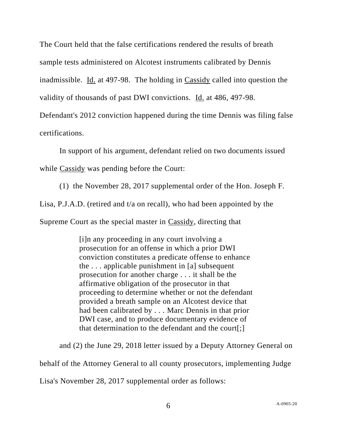The Court held that the false certifications rendered the results of breath sample tests administered on Alcotest instruments calibrated by Dennis inadmissible. Id. at 497-98. The holding in Cassidy called into question the validity of thousands of past DWI convictions. Id. at 486, 497-98.

Defendant's 2012 conviction happened during the time Dennis was filing false certifications.

In support of his argument, defendant relied on two documents issued

while Cassidy was pending before the Court:

(1) the November 28, 2017 supplemental order of the Hon. Joseph F.

Lisa, P.J.A.D. (retired and t/a on recall), who had been appointed by the

Supreme Court as the special master in Cassidy, directing that

[i]n any proceeding in any court involving a prosecution for an offense in which a prior DWI conviction constitutes a predicate offense to enhance the . . . applicable punishment in [a] subsequent prosecution for another charge . . . it shall be the affirmative obligation of the prosecutor in that proceeding to determine whether or not the defendant provided a breath sample on an Alcotest device that had been calibrated by . . . Marc Dennis in that prior DWI case, and to produce documentary evidence of that determination to the defendant and the court[:]

and (2) the June 29, 2018 letter issued by a Deputy Attorney General on

behalf of the Attorney General to all county prosecutors, implementing Judge

Lisa's November 28, 2017 supplemental order as follows: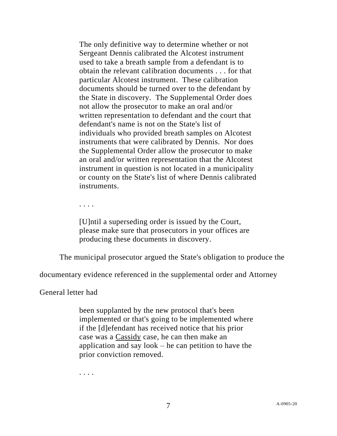The only definitive way to determine whether or not Sergeant Dennis calibrated the Alcotest instrument used to take a breath sample from a defendant is to obtain the relevant calibration documents . . . for that particular Alcotest instrument. These calibration documents should be turned over to the defendant by the State in discovery. The Supplemental Order does not allow the prosecutor to make an oral and/or written representation to defendant and the court that defendant's name is not on the State's list of individuals who provided breath samples on Alcotest instruments that were calibrated by Dennis. Nor does the Supplemental Order allow the prosecutor to make an oral and/or written representation that the Alcotest instrument in question is not located in a municipality or county on the State's list of where Dennis calibrated instruments.

. . . .

[U]ntil a superseding order is issued by the Court, please make sure that prosecutors in your offices are producing these documents in discovery.

The municipal prosecutor argued the State's obligation to produce the

documentary evidence referenced in the supplemental order and Attorney

General letter had

been supplanted by the new protocol that's been implemented or that's going to be implemented where if the [d]efendant has received notice that his prior case was a Cassidy case, he can then make an application and say look – he can petition to have the prior conviction removed.

. . . .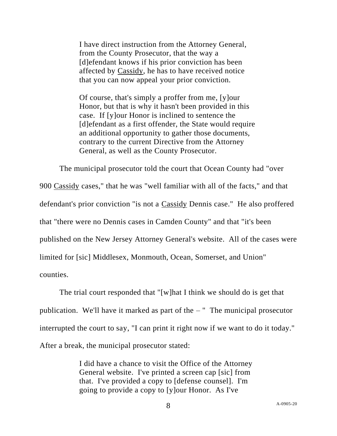I have direct instruction from the Attorney General, from the County Prosecutor, that the way a [d]efendant knows if his prior conviction has been affected by Cassidy, he has to have received notice that you can now appeal your prior conviction.

Of course, that's simply a proffer from me, [y]our Honor, but that is why it hasn't been provided in this case. If [y]our Honor is inclined to sentence the [d]efendant as a first offender, the State would require an additional opportunity to gather those documents, contrary to the current Directive from the Attorney General, as well as the County Prosecutor.

The municipal prosecutor told the court that Ocean County had "over 900 Cassidy cases," that he was "well familiar with all of the facts," and that defendant's prior conviction "is not a Cassidy Dennis case." He also proffered that "there were no Dennis cases in Camden County" and that "it's been published on the New Jersey Attorney General's website. All of the cases were limited for [sic] Middlesex, Monmouth, Ocean, Somerset, and Union" counties.

The trial court responded that "[w]hat I think we should do is get that publication. We'll have it marked as part of the – " The municipal prosecutor interrupted the court to say, "I can print it right now if we want to do it today." After a break, the municipal prosecutor stated:

> I did have a chance to visit the Office of the Attorney General website. I've printed a screen cap [sic] from that. I've provided a copy to [defense counsel]. I'm going to provide a copy to [y]our Honor. As I've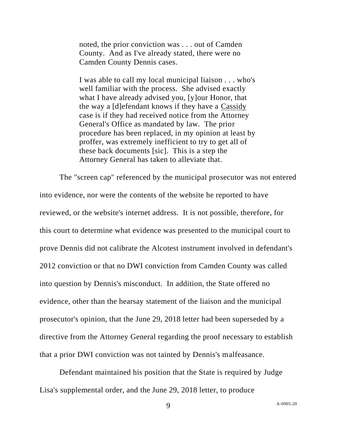noted, the prior conviction was . . . out of Camden County. And as I've already stated, there were no Camden County Dennis cases.

I was able to call my local municipal liaison . . . who's well familiar with the process. She advised exactly what I have already advised you, [y]our Honor, that the way a [d]efendant knows if they have a Cassidy case is if they had received notice from the Attorney General's Office as mandated by law. The prior procedure has been replaced, in my opinion at least by proffer, was extremely inefficient to try to get all of these back documents [sic]. This is a step the Attorney General has taken to alleviate that.

The "screen cap" referenced by the municipal prosecutor was not entered into evidence, nor were the contents of the website he reported to have reviewed, or the website's internet address. It is not possible, therefore, for this court to determine what evidence was presented to the municipal court to prove Dennis did not calibrate the Alcotest instrument involved in defendant's 2012 conviction or that no DWI conviction from Camden County was called into question by Dennis's misconduct. In addition, the State offered no evidence, other than the hearsay statement of the liaison and the municipal prosecutor's opinion, that the June 29, 2018 letter had been superseded by a directive from the Attorney General regarding the proof necessary to establish that a prior DWI conviction was not tainted by Dennis's malfeasance.

Defendant maintained his position that the State is required by Judge Lisa's supplemental order, and the June 29, 2018 letter, to produce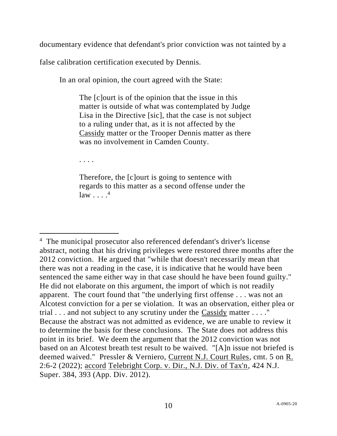documentary evidence that defendant's prior conviction was not tainted by a

false calibration certification executed by Dennis.

In an oral opinion, the court agreed with the State:

The [c]ourt is of the opinion that the issue in this matter is outside of what was contemplated by Judge Lisa in the Directive [sic], that the case is not subject to a ruling under that, as it is not affected by the Cassidy matter or the Trooper Dennis matter as there was no involvement in Camden County.

. . . .

Therefore, the [c]ourt is going to sentence with regards to this matter as a second offense under the  $law \tbinom{4}{3}$ 

<sup>&</sup>lt;sup>4</sup> The municipal prosecutor also referenced defendant's driver's license abstract, noting that his driving privileges were restored three months after the 2012 conviction. He argued that "while that doesn't necessarily mean that there was not a reading in the case, it is indicative that he would have been sentenced the same either way in that case should he have been found guilty." He did not elaborate on this argument, the import of which is not readily apparent. The court found that "the underlying first offense . . . was not an Alcotest conviction for a per se violation. It was an observation, either plea or trial . . . and not subject to any scrutiny under the Cassidy matter . . . ." Because the abstract was not admitted as evidence, we are unable to review it to determine the basis for these conclusions. The State does not address this point in its brief. We deem the argument that the 2012 conviction was not based on an Alcotest breath test result to be waived. "[A]n issue not briefed is deemed waived." Pressler & Verniero, Current N.J. Court Rules, cmt. 5 on R. 2:6-2 (2022); accord Telebright Corp. v. Dir., N.J. Div. of Tax'n, 424 N.J. Super. 384, 393 (App. Div. 2012).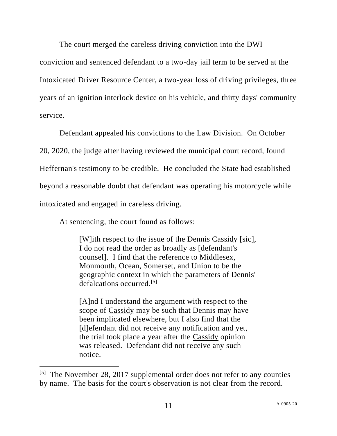The court merged the careless driving conviction into the DWI

conviction and sentenced defendant to a two-day jail term to be served at the Intoxicated Driver Resource Center, a two-year loss of driving privileges, three years of an ignition interlock device on his vehicle, and thirty days' community service.

Defendant appealed his convictions to the Law Division. On October 20, 2020, the judge after having reviewed the municipal court record, found Heffernan's testimony to be credible. He concluded the State had established beyond a reasonable doubt that defendant was operating his motorcycle while intoxicated and engaged in careless driving.

At sentencing, the court found as follows:

[W]ith respect to the issue of the Dennis Cassidy [sic], I do not read the order as broadly as [defendant's counsel]. I find that the reference to Middlesex, Monmouth, Ocean, Somerset, and Union to be the geographic context in which the parameters of Dennis' defalcations occurred.[5]

[A]nd I understand the argument with respect to the scope of Cassidy may be such that Dennis may have been implicated elsewhere, but I also find that the [d]efendant did not receive any notification and yet, the trial took place a year after the Cassidy opinion was released. Defendant did not receive any such notice.

 $^{[5]}$  The November 28, 2017 supplemental order does not refer to any counties by name. The basis for the court's observation is not clear from the record.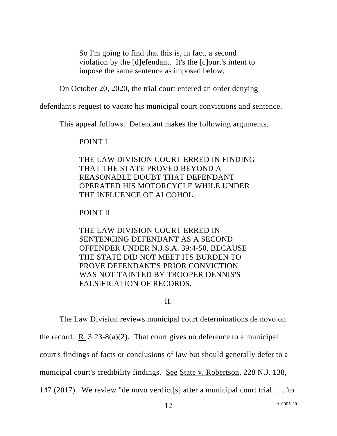So I'm going to find that this is, in fact, a second violation by the [d]efendant. It's the [c]ourt's intent to impose the same sentence as imposed below.

On October 20, 2020, the trial court entered an order denying

defendant's request to vacate his municipal court convictions and sentence.

This appeal follows. Defendant makes the following arguments.

POINT I

THE LAW DIVISION COURT ERRED IN FINDING THAT THE STATE PROVED BEYOND A REASONABLE DOUBT THAT DEFENDANT OPERATED HIS MOTORCYCLE WHILE UNDER THE INFLUENCE OF ALCOHOL.

# POINT II

THE LAW DIVISION COURT ERRED IN SENTENCING DEFENDANT AS A SECOND OFFENDER UNDER N.J.S.A. 39:4-50, BECAUSE THE STATE DID NOT MEET ITS BURDEN TO PROVE DEFENDANT'S PRIOR CONVICTION WAS NOT TAINTED BY TROOPER DENNIS'S FALSIFICATION OF RECORDS.

II.

The Law Division reviews municipal court determinations de novo on the record. R.  $3:23-8(a)(2)$ . That court gives no deference to a municipal court's findings of facts or conclusions of law but should generally defer to a municipal court's credibility findings. See State v. Robertson, 228 N.J. 138, 147 (2017). We review "de novo verdict[s] after a municipal court trial . . . 'to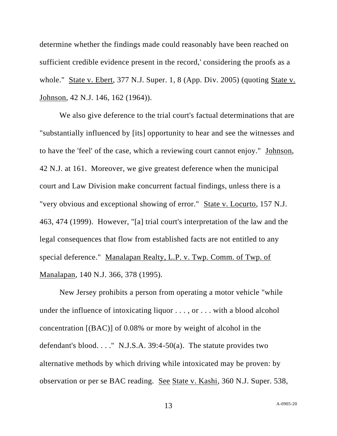determine whether the findings made could reasonably have been reached on sufficient credible evidence present in the record,' considering the proofs as a whole." State v. Ebert, 377 N.J. Super. 1, 8 (App. Div. 2005) (quoting State v. Johnson, 42 N.J. 146, 162 (1964)).

We also give deference to the trial court's factual determinations that are "substantially influenced by [its] opportunity to hear and see the witnesses and to have the 'feel' of the case, which a reviewing court cannot enjoy." Johnson, 42 N.J. at 161. Moreover, we give greatest deference when the municipal court and Law Division make concurrent factual findings, unless there is a "very obvious and exceptional showing of error." State v. Locurto, 157 N.J. 463, 474 (1999). However, "[a] trial court's interpretation of the law and the legal consequences that flow from established facts are not entitled to any special deference." Manalapan Realty, L.P. v. Twp. Comm. of Twp. of Manalapan, 140 N.J. 366, 378 (1995).

New Jersey prohibits a person from operating a motor vehicle "while under the influence of intoxicating liquor . . . , or . . . with a blood alcohol concentration [(BAC)] of 0.08% or more by weight of alcohol in the defendant's blood. . . ." N.J.S.A. 39:4-50(a). The statute provides two alternative methods by which driving while intoxicated may be proven: by observation or per se BAC reading. See State v. Kashi, 360 N.J. Super. 538,

13 A-0905-20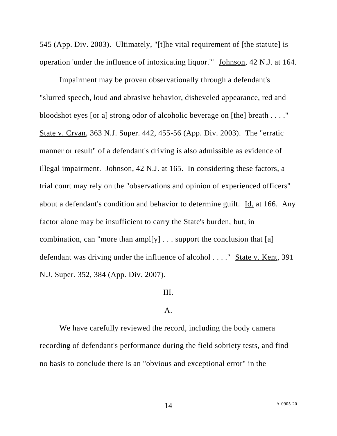545 (App. Div. 2003). Ultimately, "[t]he vital requirement of [the statute] is operation 'under the influence of intoxicating liquor.'" Johnson, 42 N.J. at 164.

Impairment may be proven observationally through a defendant's "slurred speech, loud and abrasive behavior, disheveled appearance, red and bloodshot eyes [or a] strong odor of alcoholic beverage on [the] breath . . . ." State v. Cryan, 363 N.J. Super. 442, 455-56 (App. Div. 2003). The "erratic manner or result" of a defendant's driving is also admissible as evidence of illegal impairment. Johnson, 42 N.J. at 165. In considering these factors, a trial court may rely on the "observations and opinion of experienced officers" about a defendant's condition and behavior to determine guilt. Id. at 166. Any factor alone may be insufficient to carry the State's burden, but, in combination, can "more than ample  $[y]$ ... support the conclusion that [a] defendant was driving under the influence of alcohol . . . ." State v. Kent, 391 N.J. Super. 352, 384 (App. Div. 2007).

### III.

### A.

We have carefully reviewed the record, including the body camera recording of defendant's performance during the field sobriety tests, and find no basis to conclude there is an "obvious and exceptional error" in the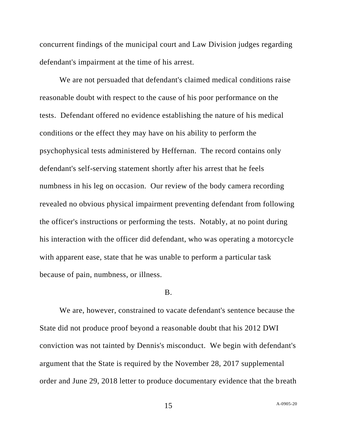concurrent findings of the municipal court and Law Division judges regarding defendant's impairment at the time of his arrest.

We are not persuaded that defendant's claimed medical conditions raise reasonable doubt with respect to the cause of his poor performance on the tests. Defendant offered no evidence establishing the nature of his medical conditions or the effect they may have on his ability to perform the psychophysical tests administered by Heffernan. The record contains only defendant's self-serving statement shortly after his arrest that he feels numbness in his leg on occasion. Our review of the body camera recording revealed no obvious physical impairment preventing defendant from following the officer's instructions or performing the tests. Notably, at no point during his interaction with the officer did defendant, who was operating a motorcycle with apparent ease, state that he was unable to perform a particular task because of pain, numbness, or illness.

### B.

We are, however, constrained to vacate defendant's sentence because the State did not produce proof beyond a reasonable doubt that his 2012 DWI conviction was not tainted by Dennis's misconduct. We begin with defendant's argument that the State is required by the November 28, 2017 supplemental order and June 29, 2018 letter to produce documentary evidence that the breath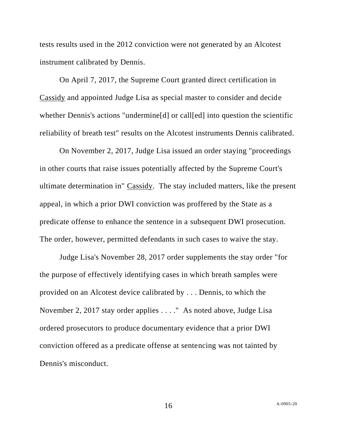tests results used in the 2012 conviction were not generated by an Alcotest instrument calibrated by Dennis.

On April 7, 2017, the Supreme Court granted direct certification in Cassidy and appointed Judge Lisa as special master to consider and decide whether Dennis's actions "undermine[d] or call[ed] into question the scientific reliability of breath test" results on the Alcotest instruments Dennis calibrated.

On November 2, 2017, Judge Lisa issued an order staying "proceedings in other courts that raise issues potentially affected by the Supreme Court's ultimate determination in" Cassidy. The stay included matters, like the present appeal, in which a prior DWI conviction was proffered by the State as a predicate offense to enhance the sentence in a subsequent DWI prosecution. The order, however, permitted defendants in such cases to waive the stay.

Judge Lisa's November 28, 2017 order supplements the stay order "for the purpose of effectively identifying cases in which breath samples were provided on an Alcotest device calibrated by . . . Dennis, to which the November 2, 2017 stay order applies . . . ." As noted above, Judge Lisa ordered prosecutors to produce documentary evidence that a prior DWI conviction offered as a predicate offense at sentencing was not tainted by Dennis's misconduct.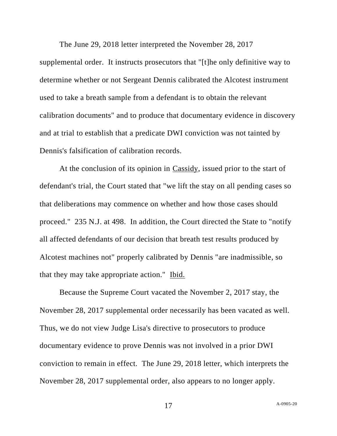The June 29, 2018 letter interpreted the November 28, 2017 supplemental order. It instructs prosecutors that "[t]he only definitive way to determine whether or not Sergeant Dennis calibrated the Alcotest instrument used to take a breath sample from a defendant is to obtain the relevant calibration documents" and to produce that documentary evidence in discovery and at trial to establish that a predicate DWI conviction was not tainted by Dennis's falsification of calibration records.

At the conclusion of its opinion in Cassidy, issued prior to the start of defendant's trial, the Court stated that "we lift the stay on all pending cases so that deliberations may commence on whether and how those cases should proceed." 235 N.J. at 498. In addition, the Court directed the State to "notify all affected defendants of our decision that breath test results produced by Alcotest machines not" properly calibrated by Dennis "are inadmissible, so that they may take appropriate action." Ibid.

Because the Supreme Court vacated the November 2, 2017 stay, the November 28, 2017 supplemental order necessarily has been vacated as well. Thus, we do not view Judge Lisa's directive to prosecutors to produce documentary evidence to prove Dennis was not involved in a prior DWI conviction to remain in effect. The June 29, 2018 letter, which interprets the November 28, 2017 supplemental order, also appears to no longer apply.

A-0905-20 17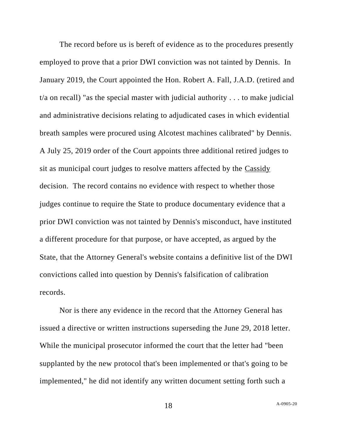The record before us is bereft of evidence as to the procedures presently employed to prove that a prior DWI conviction was not tainted by Dennis. In January 2019, the Court appointed the Hon. Robert A. Fall, J.A.D. (retired and t/a on recall) "as the special master with judicial authority . . . to make judicial and administrative decisions relating to adjudicated cases in which evidential breath samples were procured using Alcotest machines calibrated" by Dennis. A July 25, 2019 order of the Court appoints three additional retired judges to sit as municipal court judges to resolve matters affected by the Cassidy decision. The record contains no evidence with respect to whether those judges continue to require the State to produce documentary evidence that a prior DWI conviction was not tainted by Dennis's misconduct, have instituted a different procedure for that purpose, or have accepted, as argued by the State, that the Attorney General's website contains a definitive list of the DWI convictions called into question by Dennis's falsification of calibration records.

Nor is there any evidence in the record that the Attorney General has issued a directive or written instructions superseding the June 29, 2018 letter. While the municipal prosecutor informed the court that the letter had "been supplanted by the new protocol that's been implemented or that's going to be implemented," he did not identify any written document setting forth such a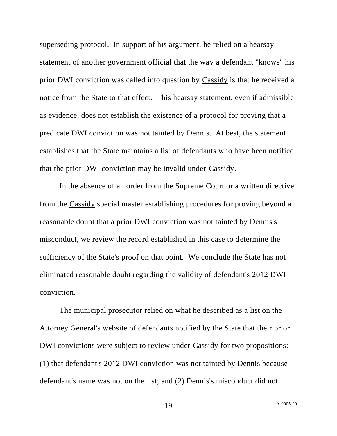superseding protocol. In support of his argument, he relied on a hearsay statement of another government official that the way a defendant "knows" his prior DWI conviction was called into question by Cassidy is that he received a notice from the State to that effect. This hearsay statement, even if admissible as evidence, does not establish the existence of a protocol for proving that a predicate DWI conviction was not tainted by Dennis. At best, the statement establishes that the State maintains a list of defendants who have been notified that the prior DWI conviction may be invalid under Cassidy.

In the absence of an order from the Supreme Court or a written directive from the Cassidy special master establishing procedures for proving beyond a reasonable doubt that a prior DWI conviction was not tainted by Dennis's misconduct, we review the record established in this case to determine the sufficiency of the State's proof on that point. We conclude the State has not eliminated reasonable doubt regarding the validity of defendant's 2012 DWI conviction.

The municipal prosecutor relied on what he described as a list on the Attorney General's website of defendants notified by the State that their prior DWI convictions were subject to review under Cassidy for two propositions: (1) that defendant's 2012 DWI conviction was not tainted by Dennis because defendant's name was not on the list; and (2) Dennis's misconduct did not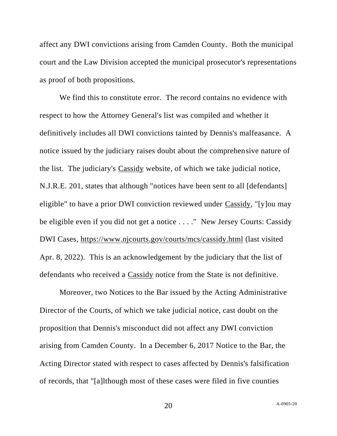affect any DWI convictions arising from Camden County. Both the municipal court and the Law Division accepted the municipal prosecutor's representations as proof of both propositions.

We find this to constitute error. The record contains no evidence with respect to how the Attorney General's list was compiled and whether it definitively includes all DWI convictions tainted by Dennis's malfeasance. A notice issued by the judiciary raises doubt about the comprehensive nature of the list. The judiciary's Cassidy website, of which we take judicial notice, N.J.R.E. 201, states that although "notices have been sent to all [defendants] eligible" to have a prior DWI conviction reviewed under Cassidy, "[y]ou may be eligible even if you did not get a notice . . . ." New Jersey Courts: Cassidy DWI Cases,<https://www.njcourts.gov/courts/mcs/cassidy.html> (last visited Apr. 8, 2022). This is an acknowledgement by the judiciary that the list of defendants who received a Cassidy notice from the State is not definitive.

Moreover, two Notices to the Bar issued by the Acting Administrative Director of the Courts, of which we take judicial notice, cast doubt on the proposition that Dennis's misconduct did not affect any DWI conviction arising from Camden County. In a December 6, 2017 Notice to the Bar, the Acting Director stated with respect to cases affected by Dennis's falsification of records, that "[a]lthough most of these cases were filed in five counties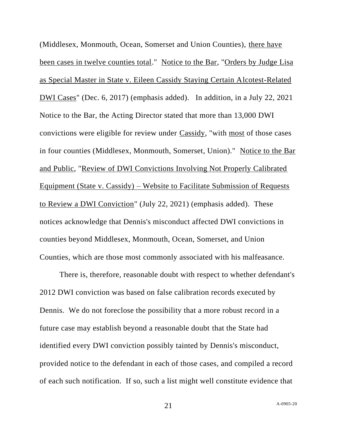(Middlesex, Monmouth, Ocean, Somerset and Union Counties), there have been cases in twelve counties total." Notice to the Bar, "Orders by Judge Lisa as Special Master in State v. Eileen Cassidy Staying Certain Alcotest-Related DWI Cases" (Dec. 6, 2017) (emphasis added). In addition, in a July 22, 2021 Notice to the Bar, the Acting Director stated that more than 13,000 DWI convictions were eligible for review under Cassidy, "with most of those cases in four counties (Middlesex, Monmouth, Somerset, Union)." Notice to the Bar and Public, "Review of DWI Convictions Involving Not Properly Calibrated Equipment (State v. Cassidy) – Website to Facilitate Submission of Requests to Review a DWI Conviction" (July 22, 2021) (emphasis added). These notices acknowledge that Dennis's misconduct affected DWI convictions in counties beyond Middlesex, Monmouth, Ocean, Somerset, and Union Counties, which are those most commonly associated with his malfeasance.

There is, therefore, reasonable doubt with respect to whether defendant's 2012 DWI conviction was based on false calibration records executed by Dennis. We do not foreclose the possibility that a more robust record in a future case may establish beyond a reasonable doubt that the State had identified every DWI conviction possibly tainted by Dennis's misconduct, provided notice to the defendant in each of those cases, and compiled a record of each such notification. If so, such a list might well constitute evidence that